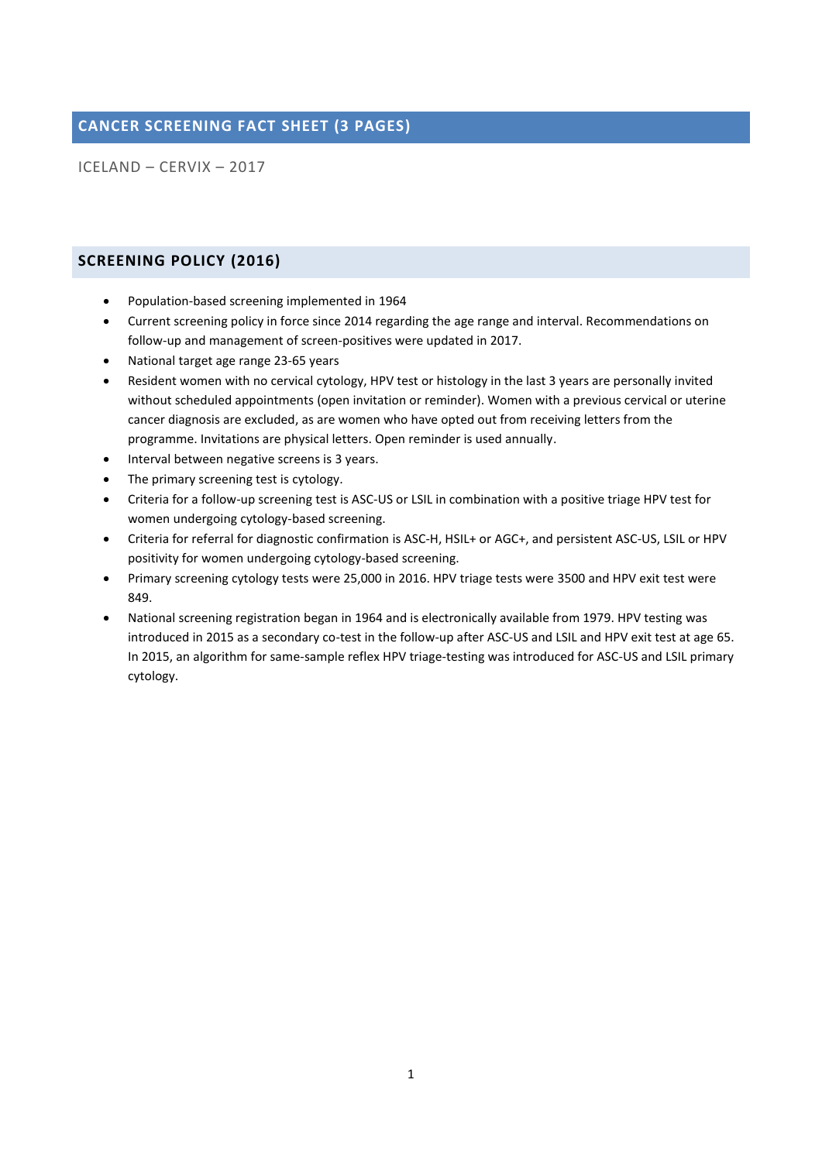# **CANCER SCREENING FACT SHEET (3 PAGES)**

ICELAND – CERVIX – 2017

## **SCREENING POLICY (2016)**

- Population-based screening implemented in 1964
- Current screening policy in force since 2014 regarding the age range and interval. Recommendations on follow-up and management of screen-positives were updated in 2017.
- National target age range 23-65 years
- Resident women with no cervical cytology, HPV test or histology in the last 3 years are personally invited without scheduled appointments (open invitation or reminder). Women with a previous cervical or uterine cancer diagnosis are excluded, as are women who have opted out from receiving letters from the programme. Invitations are physical letters. Open reminder is used annually.
- Interval between negative screens is 3 years.
- The primary screening test is cytology.
- Criteria for a follow-up screening test is ASC-US or LSIL in combination with a positive triage HPV test for women undergoing cytology-based screening.
- Criteria for referral for diagnostic confirmation is ASC-H, HSIL+ or AGC+, and persistent ASC-US, LSIL or HPV positivity for women undergoing cytology-based screening.
- Primary screening cytology tests were 25,000 in 2016. HPV triage tests were 3500 and HPV exit test were 849.
- National screening registration began in 1964 and is electronically available from 1979. HPV testing was introduced in 2015 as a secondary co-test in the follow-up after ASC-US and LSIL and HPV exit test at age 65. In 2015, an algorithm for same-sample reflex HPV triage-testing was introduced for ASC-US and LSIL primary cytology.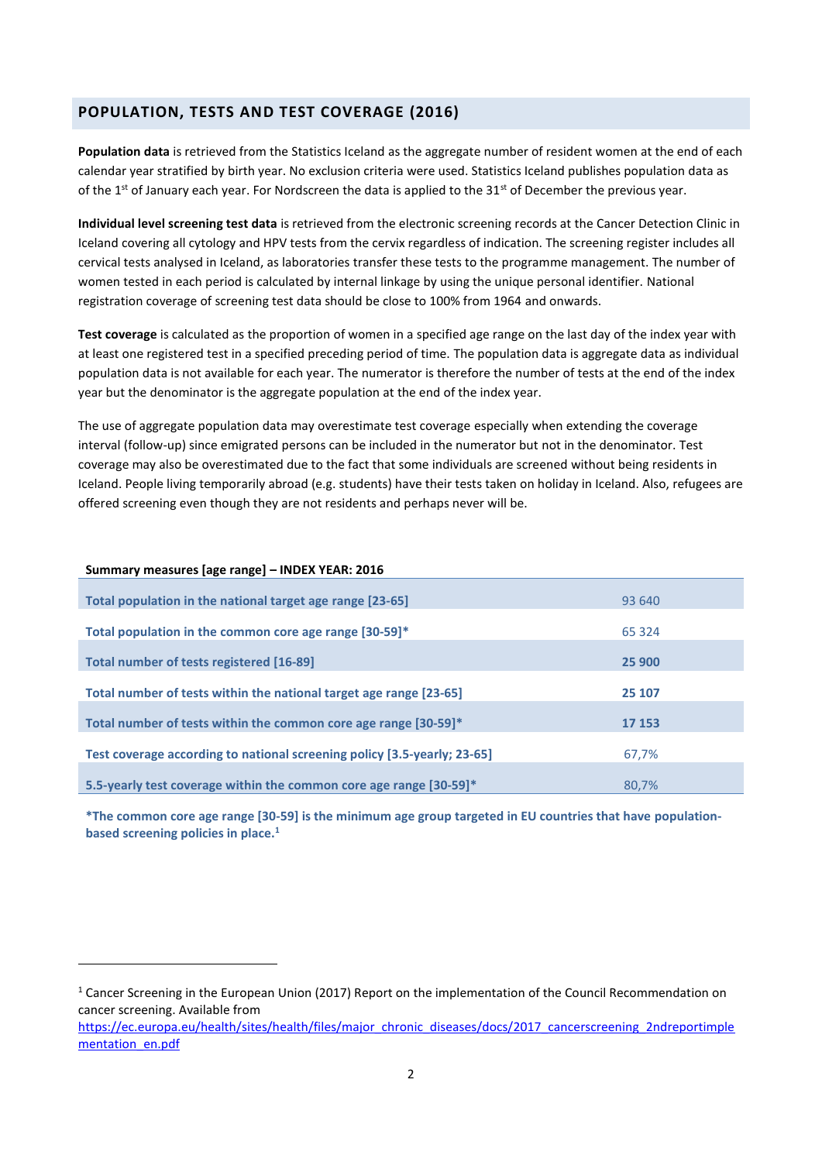## **POPULATION, TESTS AND TEST COVERAGE (2016)**

**Population data** is retrieved from the Statistics Iceland as the aggregate number of resident women at the end of each calendar year stratified by birth year. No exclusion criteria were used. Statistics Iceland publishes population data as of the 1st of January each year. For Nordscreen the data is applied to the  $31<sup>st</sup>$  of December the previous year.

**Individual level screening test data** is retrieved from the electronic screening records at the Cancer Detection Clinic in Iceland covering all cytology and HPV tests from the cervix regardless of indication. The screening register includes all cervical tests analysed in Iceland, as laboratories transfer these tests to the programme management. The number of women tested in each period is calculated by internal linkage by using the unique personal identifier. National registration coverage of screening test data should be close to 100% from 1964 and onwards.

**Test coverage** is calculated as the proportion of women in a specified age range on the last day of the index year with at least one registered test in a specified preceding period of time. The population data is aggregate data as individual population data is not available for each year. The numerator is therefore the number of tests at the end of the index year but the denominator is the aggregate population at the end of the index year.

The use of aggregate population data may overestimate test coverage especially when extending the coverage interval (follow-up) since emigrated persons can be included in the numerator but not in the denominator. Test coverage may also be overestimated due to the fact that some individuals are screened without being residents in Iceland. People living temporarily abroad (e.g. students) have their tests taken on holiday in Iceland. Also, refugees are offered screening even though they are not residents and perhaps never will be.

#### **Summary measures [age range] – INDEX YEAR: 2016**

1

| 93 640  |
|---------|
| 65 3 24 |
| 25 900  |
| 25 107  |
| 17 153  |
| 67,7%   |
| 80.7%   |
|         |

**\*The common core age range [30-59] is the minimum age group targeted in EU countries that have populationbased screening policies in place.<sup>1</sup>**

<sup>&</sup>lt;sup>1</sup> Cancer Screening in the European Union (2017) Report on the implementation of the Council Recommendation on cancer screening. Available from

[https://ec.europa.eu/health/sites/health/files/major\\_chronic\\_diseases/docs/2017\\_cancerscreening\\_2ndreportimple](https://ec.europa.eu/health/sites/health/files/major_chronic_diseases/docs/2017_cancerscreening_2ndreportimplementation_en.pdf) [mentation\\_en.pdf](https://ec.europa.eu/health/sites/health/files/major_chronic_diseases/docs/2017_cancerscreening_2ndreportimplementation_en.pdf)